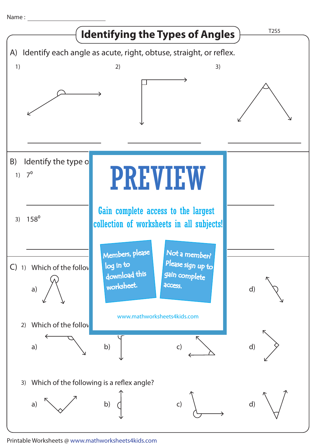Name :



Printable Worksheets @ www.mathworksheets4kids.com